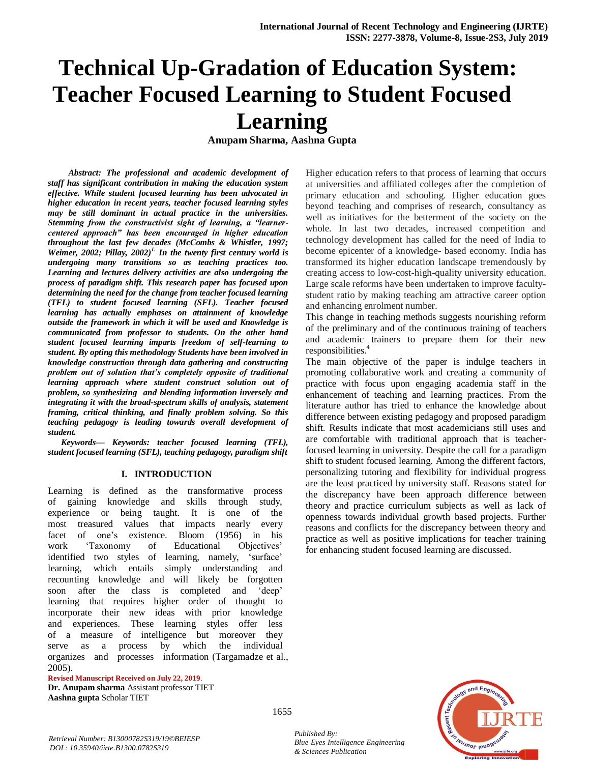# **Technical Up-Gradation of Education System: Teacher Focused Learning to Student Focused Learning**

**Anupam Sharma, Aashna Gupta**

*Abstract: The professional and academic development of staff has significant contribution in making the education system effective. While student focused learning has been advocated in higher education in recent years, teacher focused learning styles may be still dominant in actual practice in the universities. Stemming from the constructivist sight of learning, a "learnercentered approach" has been encouraged in higher education throughout the last few decades (McCombs & Whistler, 1997; Weimer, 2002; Pillay, 2002)1. In the twenty first century world is undergoing many transitions so as teaching practices too. Learning and lectures delivery activities are also undergoing the process of paradigm shift. This research paper has focused upon determining the need for the change from teacher focused learning (TFL) to student focused learning (SFL). Teacher focused learning has actually emphases on attainment of knowledge outside the framework in which it will be used and Knowledge is communicated from professor to students. On the other hand student focused learning imparts freedom of self-learning to student. By opting this methodology Students have been involved in knowledge construction through data gathering and constructing problem out of solution that's completely opposite of traditional learning approach where student construct solution out of problem, so synthesizing and blending information inversely and integrating it with the broad-spectrum skills of analysis, statement framing, critical thinking, and finally problem solving. So this teaching pedagogy is leading towards overall development of student.* 

*Keywords— Keywords: teacher focused learning (TFL), student focused learning (SFL), teaching pedagogy, paradigm shift*

#### **I. INTRODUCTION**

Learning is defined as the transformative process of gaining knowledge and skills through study, experience or being taught. It is one of the most treasured values that impacts nearly every facet of one's existence. Bloom (1956) in his work 'Taxonomy of Educational Objectives' identified two styles of learning, namely, 'surface' learning, which entails simply understanding and recounting knowledge and will likely be forgotten soon after the class is completed and 'deep' learning that requires higher order of thought to incorporate their new ideas with prior knowledge and experiences. These learning styles offer less of a measure of intelligence but moreover they serve as a process by which the individual organizes and processes information (Targamadze et al., 2005).

**Revised Manuscript Received on July 22, 2019**. **Dr. Anupam sharma** Assistant professor TIET **Aashna gupta** Scholar TIET

Higher education refers to that process of learning that occurs at universities and affiliated colleges after the completion of primary education and schooling. Higher education goes beyond teaching and comprises of research, consultancy as well as initiatives for the betterment of the society on the whole. In last two decades, increased competition and technology development has called for the need of India to become epicenter of a knowledge- based economy. India has transformed its higher education landscape tremendously by creating access to low-cost-high-quality university education. Large scale reforms have been undertaken to improve facultystudent ratio by making teaching am attractive career option and enhancing enrolment number.

This change in teaching methods suggests nourishing reform of the preliminary and of the continuous training of teachers and academic trainers to prepare them for their new responsibilities.<sup>4</sup>

The main objective of the paper is indulge teachers in promoting collaborative work and creating a community of practice with focus upon engaging academia staff in the enhancement of teaching and learning practices. From the literature author has tried to enhance the knowledge about difference between existing pedagogy and proposed paradigm shift. Results indicate that most academicians still uses and are comfortable with traditional approach that is teacherfocused learning in university. Despite the call for a paradigm shift to student focused learning. Among the different factors, personalizing tutoring and flexibility for individual progress are the least practiced by university staff. Reasons stated for the discrepancy have been approach difference between theory and practice curriculum subjects as well as lack of openness towards individual growth based projects. Further reasons and conflicts for the discrepancy between theory and practice as well as positive implications for teacher training for enhancing student focused learning are discussed.



*Published By: Blue Eyes Intelligence Engineering & Sciences Publication* 

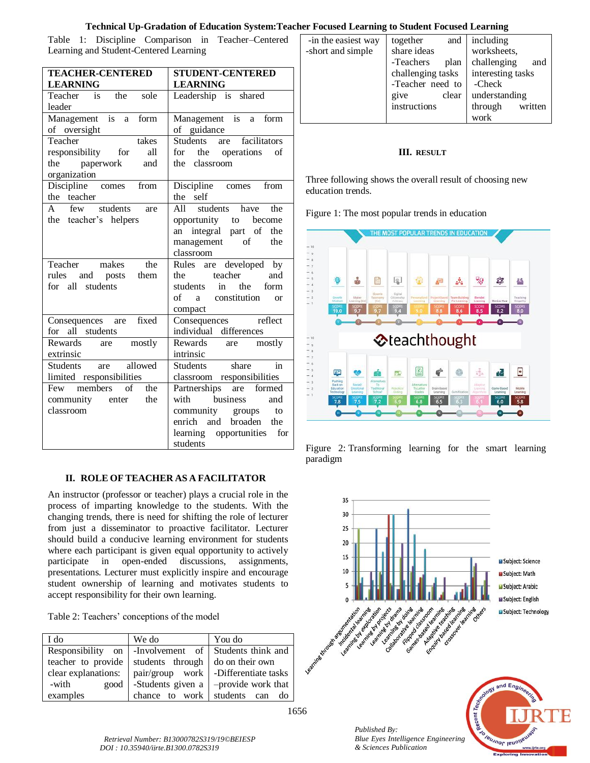## **Technical Up-Gradation of Education System:Teacher Focused Learning to Student Focused Learning**

Table 1: Discipline Comparison in Teacher–Centered Learning and Student-Centered Learning

| <b>TEACHER-CENTERED</b>                                | <b>STUDENT-CENTERED</b>                  |  |  |
|--------------------------------------------------------|------------------------------------------|--|--|
| <b>LEARNING</b>                                        | <b>LEARNING</b>                          |  |  |
| Teacher is the sole                                    | Leadership is shared                     |  |  |
| leader                                                 |                                          |  |  |
| Management is a form                                   | Management is a form                     |  |  |
| of oversight                                           | of guidance                              |  |  |
| takes<br>Teacher                                       | Students are facilitators                |  |  |
| responsibility for<br>all                              | for the operations<br>of                 |  |  |
| paperwork<br>the<br>and                                | the classroom                            |  |  |
| organization                                           |                                          |  |  |
| Discipline comes from                                  | Discipline comes from                    |  |  |
| the teacher                                            | the self                                 |  |  |
| A few students are                                     | All students have the                    |  |  |
| the teacher's helpers                                  | opportunity to become                    |  |  |
|                                                        | integral part of<br>an<br>the            |  |  |
|                                                        | management of<br>the                     |  |  |
|                                                        | classroom                                |  |  |
| Teacher makes<br>the                                   | Rules are developed by                   |  |  |
| rules and posts<br>them                                | the teacher<br>and                       |  |  |
| for all students                                       | students in the<br>form<br>of            |  |  |
|                                                        | a constitution<br>$\alpha$               |  |  |
|                                                        | compact<br>Consequences reflect          |  |  |
| Consequences are fixed<br>for all students             | individual differences                   |  |  |
| Rewards are mostly                                     | Rewards are<br>mostly                    |  |  |
| extrinsic                                              | intrinsic                                |  |  |
| Students are allowed                                   | $\overline{\text{in}}$<br>Students share |  |  |
| limited responsibilities<br>classroom responsibilities |                                          |  |  |
| Few members<br>$\sigma$ f<br>the                       | Partnerships are formed                  |  |  |
| community enter<br>the                                 | with business<br>and                     |  |  |
| classroom                                              | community groups<br>to                   |  |  |
|                                                        | enrich and broaden<br>the                |  |  |
|                                                        | learning opportunities<br>for            |  |  |
|                                                        | students                                 |  |  |

## **II. ROLE OF TEACHER AS A FACILITATOR**

An instructor (professor or teacher) plays a crucial role in the process of imparting knowledge to the students. With the changing trends, there is need for shifting the role of lecturer from just a disseminator to proactive facilitator. Lecturer should build a conducive learning environment for students where each participant is given equal opportunity to actively participate in open-ended discussions, assignments, presentations. Lecturer must explicitly inspire and encourage student ownership of learning and motivates students to accept responsibility for their own learning.

Table 2: Teachers' conceptions of the model

| I do                                                 | We do                            | You do                                       |  |
|------------------------------------------------------|----------------------------------|----------------------------------------------|--|
| Responsibility on -Involvement of Students think and |                                  |                                              |  |
| teacher to provide                                   | students through do on their own |                                              |  |
| clear explanations:                                  |                                  | pair/group work -Differentiate tasks         |  |
| -with<br>good                                        |                                  | -Students given a $\vert$ -provide work that |  |
| examples                                             | chance to work students can      | do                                           |  |

| -in the easiest way | together          | and   | including         |         |
|---------------------|-------------------|-------|-------------------|---------|
| -short and simple   | share ideas       |       | worksheets,       |         |
|                     | -Teachers         | plan  | challenging       | and     |
|                     | challenging tasks |       | interesting tasks |         |
|                     | -Teacher need to  |       | -Check            |         |
|                     | give              | clear | understanding     |         |
|                     | instructions      |       | through           | written |
|                     |                   |       | work              |         |

## **III. RESULT**

Three following shows the overall result of choosing new education trends.

Figure 1: The most popular trends in education



Figure 2: Transforming learning for the smart learning paradigm



*Blue Eyes Intelligence Engineering & Sciences Publication*